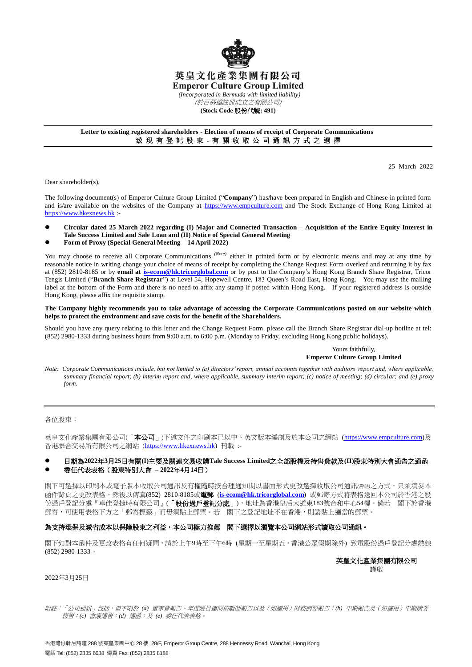

# 英皇文化產業集團有限公司 **Emperor Culture Group Limited**

*(Incorporated in Bermuda with limited liability)*

(於百慕達註冊成立之有限公司)

### **(Stock Code** 股份代號**: 491)**

## **Letter to existing registered shareholders - Election of means of receipt of Corporate Communications** 致 現 有 登 記 股 東 - 有 關 收 取 公 司 通 訊 方 式 之 選 擇

25 March 2022

Dear shareholder(s),

The following document(s) of Emperor Culture Group Limited ("**Company**") has/have been prepared in English and Chinese in printed form and is/are available on the websites of the Company at [https://www.empculture.com](https://www.empculture.com/) and The Stock Exchange of Hong Kong Limited at [https://www.hkexnews.hk](https://www.hkexnews.hk/) :-

- **Circular dated 25 March 2022 regarding (I) Major and Connected Transaction – Acquisition of the Entire Equity Interest in Tale Success Limited and Sale Loan and (II) Notice of Special General Meeting**
- **Form of Proxy (Special General Meeting – 14 April 2022)**

You may choose to receive all Corporate Communications <sup>(Note)</sup> either in printed form or by electronic means and may at any time by reasonable notice in writing change your choice of means of receipt by completing the Change Request Form overleaf and returning it by fax at (852) 2810-8185 or by **email at [is-ecom@hk.tricorglobal.com](mailto:is-ecom@hk.tricorglobal.com)** or by post to the Company's Hong Kong Branch Share Registrar, Tricor Tengis Limited ("**Branch Share Registrar**") at Level 54, Hopewell Centre, 183 Queen's Road East, Hong Kong. You may use the mailing label at the bottom of the Form and there is no need to affix any stamp if posted within Hong Kong. If your registered address is outside Hong Kong, please affix the requisite stamp.

**The Company highly recommends you to take advantage of accessing the Corporate Communications posted on our website which helps to protect the environment and save costs for the benefit of the Shareholders.**

Should you have any query relating to this letter and the Change Request Form, please call the Branch Share Registrar dial-up hotline at tel: (852) 2980-1333 during business hours from 9:00 a.m. to 6:00 p.m. (Monday to Friday, excluding Hong Kong public holidays).

# Yours faithfully, **Emperor Culture Group Limited**

*Note: Corporate Communications include, but not limited to (a) directors' report, annual accounts together with auditors' report and, where applicable, summary financial report; (b) interim report and, where applicable, summary interim report; (c) notice of meeting; (d) circular; and (e) proxy form.*

各位股東:

英皇文化產業集團有限公司(「本公司」)下述文件之印刷本已以中、英文版本編制及於本公司之網站 [\(https://www.empculture.com\)](https://www.empculture.com/)及 香港聯合交易所有限公司之網站 ([https://www.hkexnews.hk\)](https://www.hkexnews.hk/) 刊載 :-

# 日期為**2022**年**3**月**25**日有關**(I)**主要及關連交易收購**Tale Success Limited**之全部股權及待售貸款及**(II)**股東特別大會通告之通函 委任代表表格(股東特別大會 **– 2022**年**4**月**14**日)

閣下可選擇以印刷本或電子版本收取公司通訊及有權隨時按合理通知期以書面形式更改選擇收取公司通訊*(*附註*)*之方式,只須填妥本 函件背頁之更改表格,然後以傳真(852) 2810-8185或電郵 (**[is-ecom@hk.tricorglobal.com](mailto:is-ecom@hk.tricorglobal.com)**) 或郵寄方式將表格送回本公司於香港之股 份過戶登記分處『卓佳登捷時有限公司』(「股份過戶登記分處」),地址為香港皇后大道東183號合和中心54樓。倘若 閣下於香港 郵寄,可使用表格下方之「郵寄標籤」而毋須貼上郵票。若 閣下之登記地址不在香港,則請貼上適當的郵票。

## 為支持環保及減省成本以保障股東之利益,本公司極力推薦 閣下選擇以瀏覽本公司網站形式讀取公司通訊。

閣下如對本函件及更改表格有任何疑問,請於上午9時至下午6時 (星期一至星期五,香港公眾假期除外) 致電股份過戶登記分處熱線 (852) 2980-1333。

> 英皇文化產業集團有限公司 謹啟

2022年3月25日

附註:「公司通訊」包括,但不限於 *(a)* 董事會報告、年度賬目連同核數師報告以及(如適用)財務摘要報告;*(b)* 中期報告及(如適用)中期摘要 報告;*(c)* 會議通告;*(d)* 通函;及 *(e)* 委任代表表格。